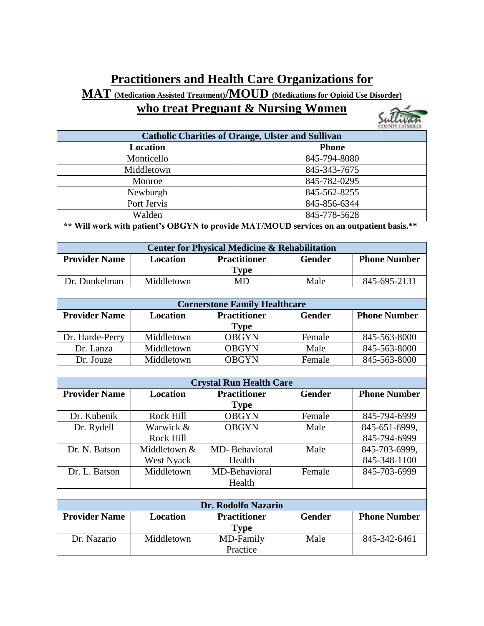#### **Practitioners and Health Care Organizations for MAT (Medication Assisted Treatment)/MOUD (Medications for Opioid Use Disorder) who treat Pregnant & Nursing Women**



| <b>Catholic Charities of Orange, Ulster and Sullivan</b> |              |  |  |
|----------------------------------------------------------|--------------|--|--|
| Location                                                 | <b>Phone</b> |  |  |
| Monticello                                               | 845-794-8080 |  |  |
| Middletown                                               | 845-343-7675 |  |  |
| Monroe                                                   | 845-782-0295 |  |  |
| Newburgh                                                 | 845-562-8255 |  |  |
| Port Jervis                                              | 845-856-6344 |  |  |
| Walden                                                   | 845-778-5628 |  |  |

 **\*\* Will work with patient's OBGYN to provide MAT/MOUD services on an outpatient basis.\*\***

| <b>Center for Physical Medicine &amp; Rehabilitation</b> |                  |                                      |               |                     |
|----------------------------------------------------------|------------------|--------------------------------------|---------------|---------------------|
| <b>Provider Name</b>                                     | Location         | <b>Practitioner</b><br><b>Type</b>   | <b>Gender</b> | <b>Phone Number</b> |
| Dr. Dunkelman                                            | Middletown       | MD                                   | Male          | 845-695-2131        |
|                                                          |                  |                                      |               |                     |
|                                                          |                  | <b>Cornerstone Family Healthcare</b> |               |                     |
| <b>Provider Name</b>                                     | Location         | <b>Practitioner</b>                  | <b>Gender</b> | <b>Phone Number</b> |
|                                                          |                  | <b>Type</b>                          |               |                     |
| Dr. Harde-Perry                                          | Middletown       | <b>OBGYN</b>                         | Female        | 845-563-8000        |
| Dr. Lanza                                                | Middletown       | <b>OBGYN</b>                         | Male          | 845-563-8000        |
| Dr. Jouze                                                | Middletown       | <b>OBGYN</b>                         | Female        | 845-563-8000        |
|                                                          |                  |                                      |               |                     |
|                                                          |                  | <b>Crystal Run Health Care</b>       |               |                     |
| <b>Provider Name</b>                                     | <b>Location</b>  | <b>Practitioner</b>                  | <b>Gender</b> | <b>Phone Number</b> |
|                                                          |                  | <b>Type</b>                          |               |                     |
| Dr. Kubenik                                              | Rock Hill        | <b>OBGYN</b>                         | Female        | 845-794-6999        |
| Dr. Rydell                                               | Warwick &        | <b>OBGYN</b>                         | Male          | 845-651-6999,       |
|                                                          | <b>Rock Hill</b> |                                      |               | 845-794-6999        |
| Dr. N. Batson                                            | Middletown &     | <b>MD-Behavioral</b>                 | Male          | 845-703-6999,       |
|                                                          | West Nyack       | Health                               |               | 845-348-1100        |
| Dr. L. Batson                                            | Middletown       | MD-Behavioral                        | Female        | 845-703-6999        |
|                                                          |                  | Health                               |               |                     |
|                                                          |                  |                                      |               |                     |
| Dr. Rodolfo Nazario                                      |                  |                                      |               |                     |
| <b>Provider Name</b>                                     | <b>Location</b>  | <b>Practitioner</b>                  | <b>Gender</b> | <b>Phone Number</b> |
|                                                          |                  | <b>Type</b>                          |               |                     |
| Dr. Nazario                                              | Middletown       | MD-Family                            | Male          | 845-342-6461        |
|                                                          |                  | Practice                             |               |                     |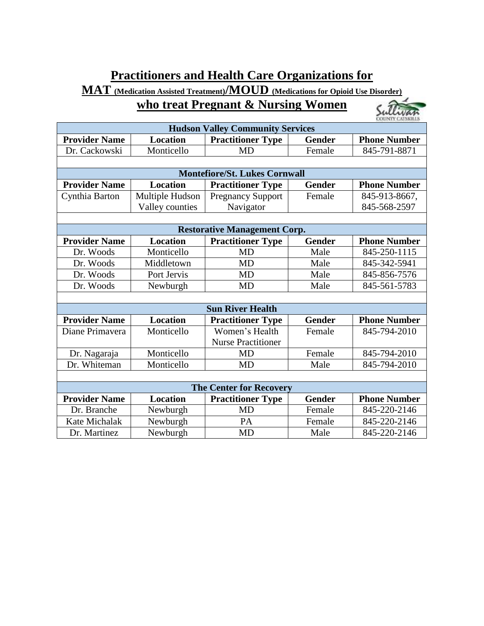## **Practitioners and Health Care Organizations for**

# **MAT (Medication Assisted Treatment)/MOUD (Medications for Opioid Use Disorder)**

### **who treat Pregnant & Nursing Women**



| <b>CAPELLED CATLINING</b><br><b>Hudson Valley Community Services</b> |                 |                                      |               |                     |  |
|----------------------------------------------------------------------|-----------------|--------------------------------------|---------------|---------------------|--|
| <b>Provider Name</b>                                                 | <b>Location</b> | <b>Practitioner Type</b>             | <b>Gender</b> | <b>Phone Number</b> |  |
| Dr. Cackowski                                                        | Monticello      | <b>MD</b>                            | Female        | 845-791-8871        |  |
|                                                                      |                 |                                      |               |                     |  |
|                                                                      |                 | <b>Montefiore/St. Lukes Cornwall</b> |               |                     |  |
| <b>Provider Name</b>                                                 | <b>Location</b> | <b>Practitioner Type</b>             | <b>Gender</b> | <b>Phone Number</b> |  |
| Cynthia Barton                                                       | Multiple Hudson | <b>Pregnancy Support</b>             | Female        | 845-913-8667,       |  |
|                                                                      | Valley counties | Navigator                            |               | 845-568-2597        |  |
|                                                                      |                 |                                      |               |                     |  |
|                                                                      |                 | <b>Restorative Management Corp.</b>  |               |                     |  |
| <b>Provider Name</b>                                                 | <b>Location</b> | <b>Practitioner Type</b>             | <b>Gender</b> | <b>Phone Number</b> |  |
| Dr. Woods                                                            | Monticello      | MD                                   | Male          | 845-250-1115        |  |
| Dr. Woods                                                            | Middletown      | <b>MD</b>                            | Male          | 845-342-5941        |  |
| Dr. Woods                                                            | Port Jervis     | <b>MD</b>                            | Male          | 845-856-7576        |  |
| Dr. Woods                                                            | Newburgh        | <b>MD</b>                            | Male          | 845-561-5783        |  |
|                                                                      |                 |                                      |               |                     |  |
|                                                                      |                 | <b>Sun River Health</b>              |               |                     |  |
| <b>Provider Name</b>                                                 | <b>Location</b> | <b>Practitioner Type</b>             | <b>Gender</b> | <b>Phone Number</b> |  |
| Diane Primavera                                                      | Monticello      | Women's Health                       | Female        | 845-794-2010        |  |
|                                                                      |                 | <b>Nurse Practitioner</b>            |               |                     |  |
| Dr. Nagaraja                                                         | Monticello      | <b>MD</b>                            | Female        | 845-794-2010        |  |
| Dr. Whiteman                                                         | Monticello      | <b>MD</b>                            | Male          | 845-794-2010        |  |
|                                                                      |                 |                                      |               |                     |  |
| <b>The Center for Recovery</b>                                       |                 |                                      |               |                     |  |
| <b>Provider Name</b>                                                 | <b>Location</b> | <b>Practitioner Type</b>             | <b>Gender</b> | <b>Phone Number</b> |  |
| Dr. Branche                                                          | Newburgh        | <b>MD</b>                            | Female        | 845-220-2146        |  |
| Kate Michalak                                                        | Newburgh        | PA                                   | Female        | 845-220-2146        |  |
| Dr. Martinez                                                         | Newburgh        | MD                                   | Male          | 845-220-2146        |  |